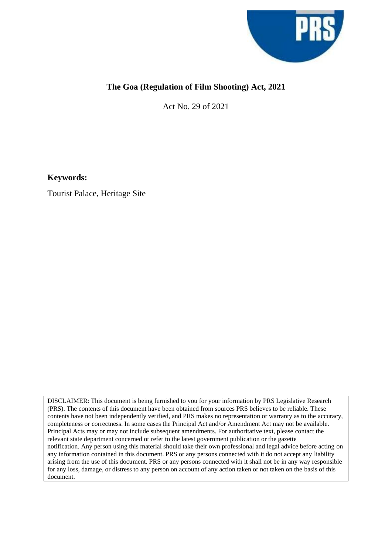

## **The Goa (Regulation of Film Shooting) Act, 2021**

Act No. 29 of 2021

**Keywords:**

Tourist Palace, Heritage Site

DISCLAIMER: This document is being furnished to you for your information by PRS Legislative Research (PRS). The contents of this document have been obtained from sources PRS believes to be reliable. These contents have not been independently verified, and PRS makes no representation or warranty as to the accuracy, completeness or correctness. In some cases the Principal Act and/or Amendment Act may not be available. Principal Acts may or may not include subsequent amendments. For authoritative text, please contact the relevant state department concerned or refer to the latest government publication or the gazette notification. Any person using this material should take their own professional and legal advice before acting on any information contained in this document. PRS or any persons connected with it do not accept any liability arising from the use of this document. PRS or any persons connected with it shall not be in any way responsible for any loss, damage, or distress to any person on account of any action taken or not taken on the basis of this document.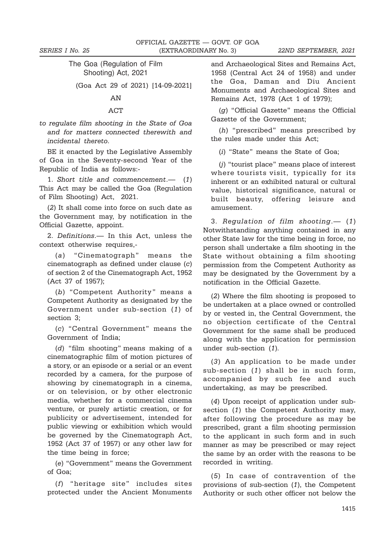## The Goa (Regulation of Film Shooting) Act, 2021

(Goa Act 29 of 2021) [14-09-2021]

## AN

## ACT

to regulate film shooting in the State of Goa and for matters connected therewith and incidental thereto.

BE it enacted by the Legislative Assembly of Goa in the Seventy-second Year of the Republic of India as follows:-

1. Short title and commencement.— (1) This Act may be called the Goa (Regulation of Film Shooting) Act, 2021.

(2) It shall come into force on such date as the Government may, by notification in the Official Gazette, appoint.

2. Definitions.— In this Act, unless the context otherwise requires,-

(a) "Cinematograph" means the cinematograph as defined under clause (c) of section 2 of the Cinematograph Act, 1952 (Act 37 of 1957);

(b) "Competent Authority" means a Competent Authority as designated by the Government under sub-section (1) of section 3;

(c) "Central Government" means the Government of India;

(d) "film shooting" means making of a cinematographic film of motion pictures of a story, or an episode or a serial or an event recorded by a camera, for the purpose of showing by cinematograph in a cinema, or on television, or by other electronic media, whether for a commercial cinema venture, or purely artistic creation, or for publicity or advertisement, intended for public viewing or exhibition which would be governed by the Cinematograph Act, 1952 (Act 37 of 1957) or any other law for the time being in force;

(e) "Government" means the Government of Goa;

(f) "heritage site" includes sites protected under the Ancient Monuments

and Archaeological Sites and Remains Act, 1958 (Central Act 24 of 1958) and under the Goa, Daman and Diu Ancient Monuments and Archaeological Sites and Remains Act, 1978 (Act 1 of 1979);

(g) "Official Gazette" means the Official Gazette of the Government;

(h) "prescribed" means prescribed by the rules made under this Act;

(i) "State" means the State of Goa;

(j) "tourist place" means place of interest where tourists visit, typically for its inherent or an exhibited natural or cultural value, historical significance, natural or built beauty, offering leisure and amusement.

3. Regulation of film shooting.— (1) Notwithstanding anything contained in any other State law for the time being in force, no person shall undertake a film shooting in the State without obtaining a film shooting permission from the Competent Authority as may be designated by the Government by a notification in the Official Gazette.

(2) Where the film shooting is proposed to be undertaken at a place owned or controlled by or vested in, the Central Government, the no objection certificate of the Central Government for the same shall be produced along with the application for permission under sub-section (1).

(3) An application to be made under sub-section (1) shall be in such form, accompanied by such fee and such undertaking, as may be prescribed.

(4) Upon receipt of application under subsection (1) the Competent Authority may, after following the procedure as may be prescribed, grant a film shooting permission to the applicant in such form and in such manner as may be prescribed or may reject the same by an order with the reasons to be recorded in writing.

(5) In case of contravention of the provisions of sub-section (1), the Competent Authority or such other officer not below the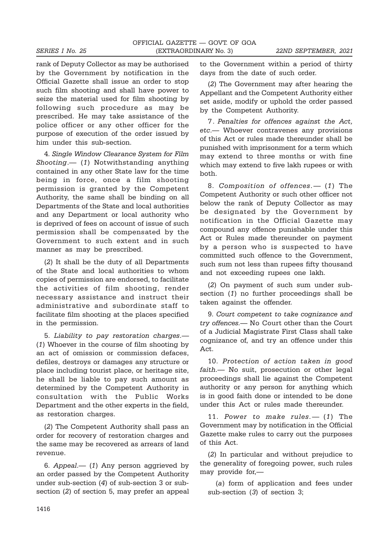rank of Deputy Collector as may be authorised by the Government by notification in the Official Gazette shall issue an order to stop such film shooting and shall have power to seize the material used for film shooting by following such procedure as may be prescribed. He may take assistance of the police officer or any other officer for the purpose of execution of the order issued by him under this sub-section.

4. Single Window Clearance System for Film Shooting.— (1) Notwithstanding anything contained in any other State law for the time being in force, once a film shooting permission is granted by the Competent Authority, the same shall be binding on all Departments of the State and local authorities and any Department or local authority who is deprived of fees on account of issue of such permission shall be compensated by the Government to such extent and in such manner as may be prescribed.

(2) It shall be the duty of all Departments of the State and local authorities to whom copies of permission are endorsed, to facilitate the activities of film shooting, render necessary assistance and instruct their administrative and subordinate staff to facilitate film shooting at the places specified in the permission.

5. Liability to pay restoration charges.— (1) Whoever in the course of film shooting by an act of omission or commission defaces, defiles, destroys or damages any structure or place including tourist place, or heritage site, he shall be liable to pay such amount as determined by the Competent Authority in consultation with the Public Works Department and the other experts in the field, as restoration charges.

(2) The Competent Authority shall pass an order for recovery of restoration charges and the same may be recovered as arrears of land revenue.

6. Appeal.— (1) Any person aggrieved by an order passed by the Competent Authority under sub-section (4) of sub-section 3 or subsection (2) of section 5, may prefer an appeal

to the Government within a period of thirty days from the date of such order.

(2) The Government may after hearing the Appellant and the Competent Authority either set aside, modify or uphold the order passed by the Competent Authority.

7. Penalties for offences against the Act, etc.— Whoever contravenes any provisions of this Act or rules made thereunder shall be punished with imprisonment for a term which may extend to three months or with fine which may extend to five lakh rupees or with both.

8. Composition of offences.— (1) The Competent Authority or such other officer not below the rank of Deputy Collector as may be designated by the Government by notification in the Official Gazette may compound any offence punishable under this Act or Rules made thereunder on payment by a person who is suspected to have committed such offence to the Government, such sum not less than rupees fifty thousand and not exceeding rupees one lakh.

(2) On payment of such sum under subsection (1) no further proceedings shall be taken against the offender.

9. Court competent to take cognizance and try offences.— No Court other than the Court of a Judicial Magistrate First Class shall take cognizance of, and try an offence under this Act.

10. Protection of action taken in good faith.— No suit, prosecution or other legal proceedings shall lie against the Competent authority or any person for anything which is in good faith done or intended to be done under this Act or rules made thereunder.

11. Power to make rules.— (1) The Government may by notification in the Official Gazette make rules to carry out the purposes of this Act.

(2) In particular and without prejudice to the generality of foregoing power, such rules may provide for,—

(a) form of application and fees under sub-section (3) of section 3;